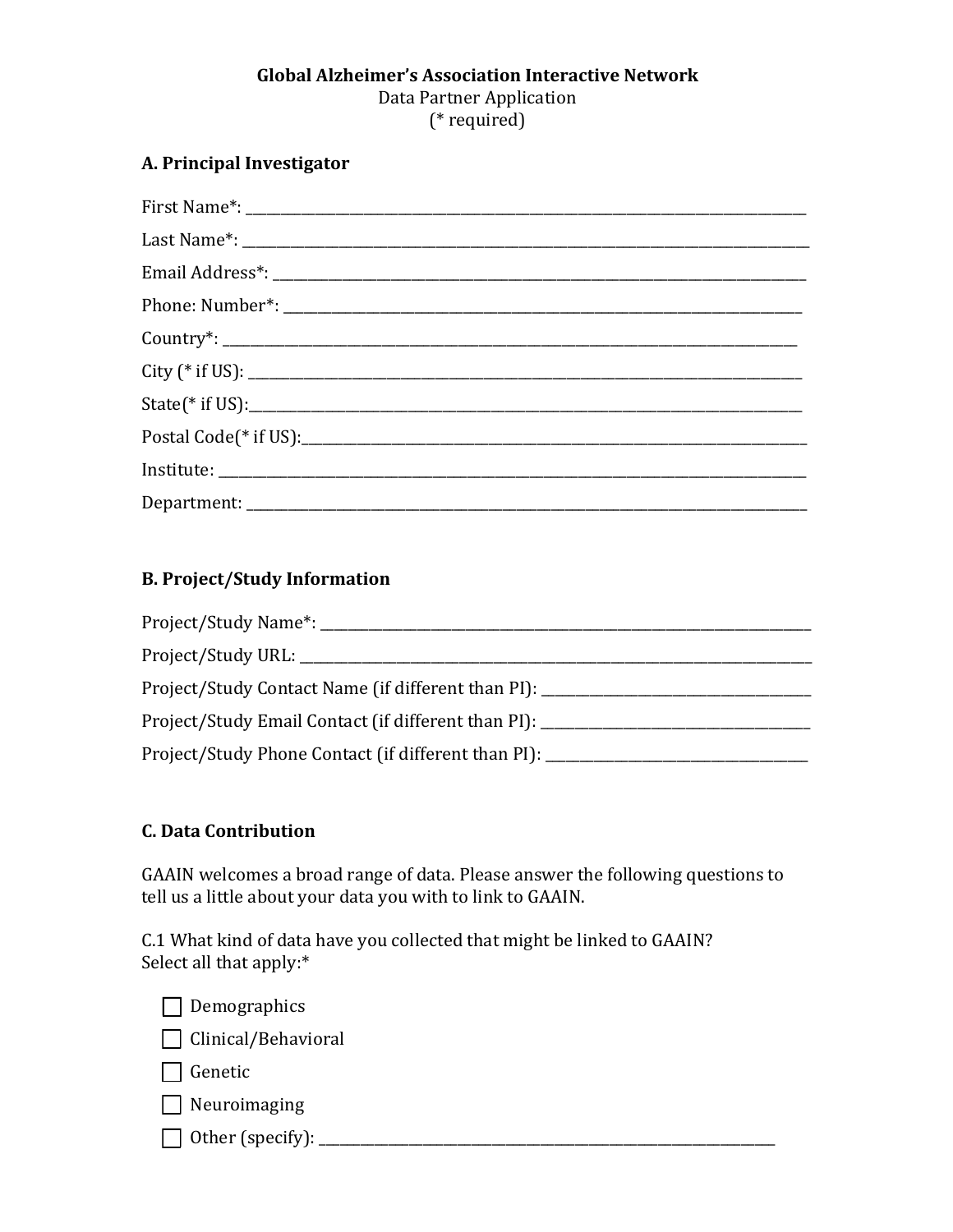### **Global Alzheimer's Association Interactive Network** Data Partner Application (\* required)

## **A. Principal Investigator**

### **B. Project/Study Information**

| Project/Study URL:                                                               |
|----------------------------------------------------------------------------------|
| Project/Study Contact Name (if different than PI): ______                        |
| Project/Study Email Contact (if different than PI): ____________________________ |
| Project/Study Phone Contact (if different than PI): ___________                  |

### **C. Data Contribution**

GAAIN welcomes a broad range of data. Please answer the following questions to tell us a little about your data you with to link to GAAIN.

C.1 What kind of data have you collected that might be linked to GAAIN? Select all that apply:\*

 $\Box$  Demographics  $\Box$  Clinical/Behavioral  $\Box$  Genetic  $\Box$  Neuroimaging ! Other (specify): \_\_\_\_\_\_\_\_\_\_\_\_\_\_\_\_\_\_\_\_\_\_\_\_\_\_\_\_\_\_\_\_\_\_\_\_\_\_\_\_\_\_\_\_\_\_\_\_\_\_\_\_\_\_\_\_\_\_\_\_\_\_\_\_\_\_